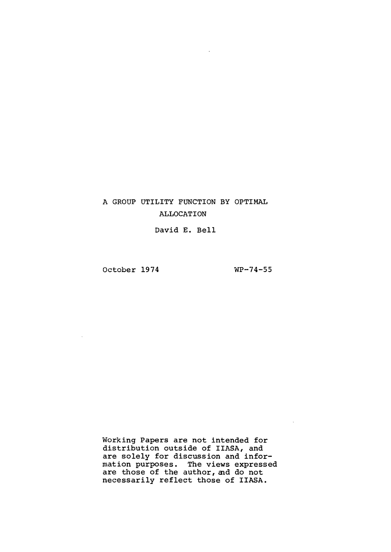## A GROUP UTILITY FUNCTION BY OPTIMAL ALLOCATION

 $\sim$ 

David E. Bell

October 1974 WP-74-55

 $\sim 10^7$ 

 $\sim$  4

Working Papers are not intended for distribution outside of IIASA, and are solely for discussion and information purposes. The views expressed are those of the author, ad do not necessarily reflect those of IIASA.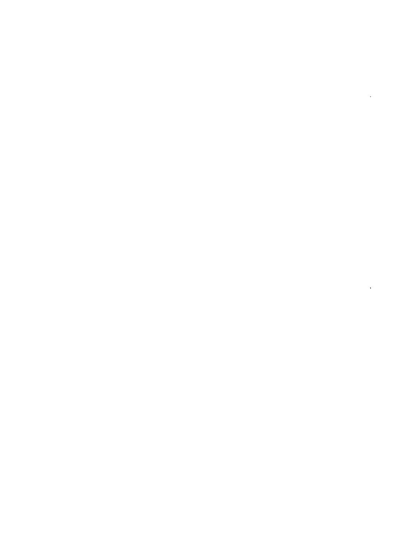$\epsilon$  $\star$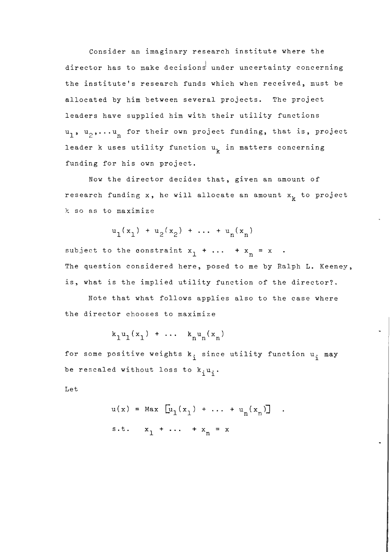Consider an imaginary research institute where the director has to make decisions under uncertainty concerning the institute's research funds which when received, must be allocated by him between several projects. The project leaders have supplied him with their utility functions  $\mathfrak{u}_{1}$ ,  $\mathfrak{u}_{2}$ ,... $\mathfrak{u}_{n}$  for their own project funding, that is, project leader k uses utility function  $u_k$  in matters concerning funding for his own project.

Now the director decides that, given an amount of research funding  $x$ , he will allocate an amount  $x_k$  to project k so as to maximize

$$
u_1(x_1) + u_2(x_2) + \ldots + u_n(x_n)
$$

subject to the constraint  $x_1 + ... + x_n = x$ The question considered here, posed to me by Ralph L. Keeney, is, what is the implied utility function of the director?.

Note that what follows applies also to the case where the director chooses to maximize

 $k_1 u_1(x_1) + \ldots k_n u_n(x_n)$ 

for some positive weights  $k_{\hat{1}}$  since utility function  $u_{\hat{1}}$  may be rescaled without loss to  $k_1u_1$ .

Let

$$
u(x) = Max \left[ u_1(x_1) + \dots + u_n(x_n) \right]
$$
  
s.t.  $x_1 + \dots + x_n = x$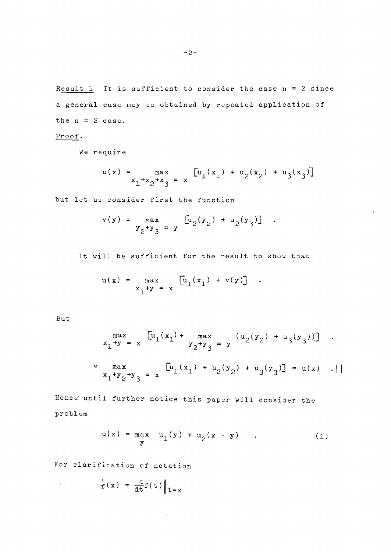-2-

Result 1 It is sufficient to consider the case  $n = 2$  since <sup>a</sup> general case may be obtained by repeated application of the  $n = 2$  case.

## Proof.

We require

$$
u(x) = \max_{x_1 + x_2 + x_3} [u_1(x_1) + u_2(x_2) + u_3(x_3)]
$$

but let us consider first the function

$$
v(y) = \max_{y_2 + y_3 = y} [\bar{u}_2(y_2) + u_2(y_3)]
$$
.

It will be sufficient for the result to show that

$$
u(x) = \max_{x_1+y = x} \left[ u_1(x_1) + v(y) \right]
$$
.

But

 $\sim 10^{11}$  km  $^{-1}$ 

$$
\begin{aligned}\n&\max_{x_1+y_2=x_1} \left[ u_1(x_1) + \max_{y_2+y_3=y_1} (u_2(y_2) + u_3(y_3)) \right] . \\
&= \max_{x_1+y_2+y_3=x_1} \left[ u_1(x_1) + u_2(y_2) + u_3(y_3) \right] = u(x) . \end{aligned}
$$

Hence' until further notice this paper will consider the problem

$$
u(x) = \max_{y} u_1(y) + u_2(x - y) \qquad (1)
$$

For clarification of notation

$$
\frac{1}{f}(x) = \frac{d}{dt}f(t)\Big|_{t=x}
$$

 $\sim 10^7$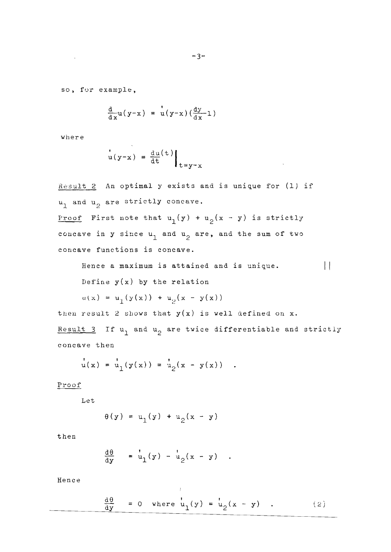so, for example,

$$
\frac{d}{dx}u(y-x) = u(y-x) \left(\frac{dy}{dx} - 1\right)
$$

where

$$
\begin{array}{l}\n \mathbf{u}(\mathbf{y}-\mathbf{x}) = \frac{\mathrm{d}\mathbf{u}(\mathbf{t})}{\mathrm{d}\mathbf{t}}\bigg|_{\mathbf{t}=\mathbf{y}-\mathbf{x}}\n \end{array}
$$

Result 2 An optimal y exists and is unique for (1) if  $u_1$  and  $u_2$  are strictly concave.

Proof First note that  $u_1(y) + u_2(x - y)$  is strictly concave in y since  $u_1$  and  $u_2$  are, and the sum of two concave functions is concave.

Hence a maximum is attained and is unique.  $| \ |$ 

Define  $y(x)$  by the relation

 $u(x) = u_1(y(x)) + u_2(x - y(x))$ 

then result 2 shows that  $y(x)$  is well defined on x.

Result 3 If  $u_1$  and  $u_2$  are twice differentiable and strictly concave then

$$
\mathbf{u}'(\mathbf{x}) = \mathbf{u}'_1(\mathbf{y}(\mathbf{x})) = \mathbf{u}'_2(\mathbf{x} - \mathbf{y}(\mathbf{x}))
$$

Proof

Let

$$
\theta(y) = u_1(y) + u_2(x - y)
$$

then

$$
\frac{d\theta}{dy} = u_1(y) - u_2(x - y)
$$

Hence

$$
\frac{d\theta}{dy} = 0 \quad \text{where } u_1(y) = u_2(x - y) \quad . \tag{2}
$$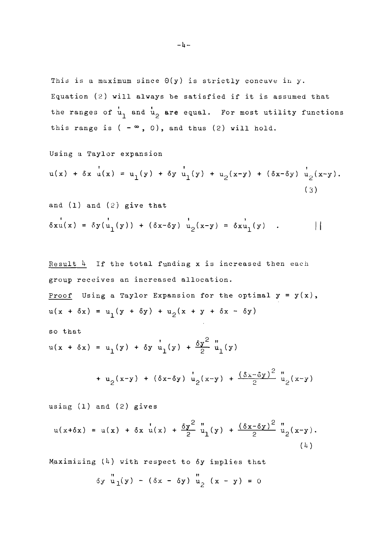This is a maximum since  $\Theta(y)$  is strictly concave in y. Equation (2) will always be satisfied if it is assumed that the ranges of  $u_1$  and  $u_2$  are equal. For most utility functions this range is ( $-\infty$ , 0), and thus (2) will hold.

Using a Taylor expansion  
\n
$$
u(x) + \delta x \dot{u}(x) = u_1(y) + \delta y \dot{u}_1(y) + u_2(x-y) + (\delta x - \delta y) \dot{u}_2(x-y).
$$
\n(3)  
\nand (1) and (2) give that

$$
\delta x u(x) = \delta y(u_1(y)) + (\delta x - \delta y) u_2(x-y) = \delta x u_1(y) . \qquad |
$$

Result  $4$  If the total funding x is increased then each group receives an increased allocation. Proof Using a Taylor Expansion for the optimal  $y = y(x)$ ,  $u(x + \delta x) = u_1(y + \delta y) + u_2(x + y + \delta x - \delta y)$ 

so that  $u(x + \delta x) = u_1(y) + \delta y \frac{1}{u_1(y)} + \frac{\delta y^2}{2} \frac{u}{u_1(y)}$ 

+ 
$$
u_2(x-y)
$$
 +  $(\delta x - \delta y) u_2(x-y)$  +  $\frac{(\delta x - \delta y)^2}{2} u_2(x-y)$ 

using (1) and (2) gives  $u(x+\delta x) = u(x) + \delta x \, u'(x) + \frac{\delta y^2}{2} \, u_1'(y) + \frac{(\delta x - \delta y)^2}{2} \, u_2(x-y).$  $(4)$ 

Maximizing (4) with respect to 6y implies that

$$
\delta y \stackrel{''}{u}_1(y) - (\delta x - \delta y) \stackrel{''}{u}_2 (x - y) = 0
$$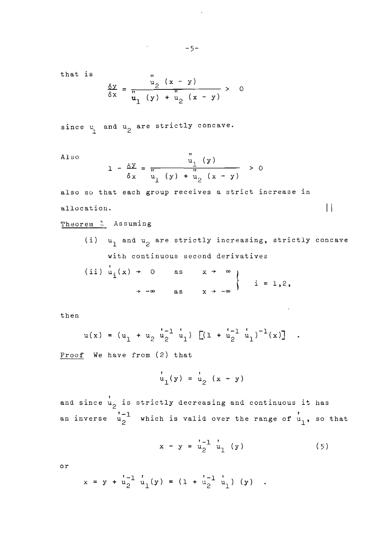that is  $\qquad \qquad$  "

$$
\frac{\delta y}{\delta x} = \frac{u_2 (x - y)}{u_1 (y) + u_2 (x - y)} > 0
$$

since  $\mathfrak{u}_{2}$  and  $\mathfrak{u}_{2}$  are strictly concave.

Also

$$
1 - \frac{\delta Y}{\delta x} = \frac{\sum_{1}^{n} (y)}{\sum_{1}^{n} (y) + \sum_{2}^{n} (x - y)} > 0
$$

also so that each group receives a strict increase in allocation.  $\vert \vert$ 

## Theorem Assuming

(i)  $u_1$  and  $u_2$  are strictly increasing, strictly concave with continuous second derivatives

(ii) 
$$
u_i(x) \rightarrow 0
$$
 as  $x \rightarrow \infty$   
 $\rightarrow -\infty$  as  $x \rightarrow -\infty$   
as  $x \rightarrow -\infty$   $i = 1,2$ ,

then

$$
u(x) = (u_1 + u_2 u_2^{i-1} u_1) [ (1 + u_2^{i-1} u_1)^{-1}(x) ]
$$

Proof We have from (2) that

$$
u_1(y) = u_2 (x - y)
$$

and since  $\mathbf{u}_2$  is strictly decreasing and continuous it has an inverse  $u_2^{t-1}$  which is valid over the range of  $u_1$ , so that

$$
x - y = u_2^{-1} u_1 (y)
$$
 (5)

or

$$
x = y + u_2^{-1} u_1(y) = (1 + u_2^{-1} u_1) (y)
$$

 $\ddot{\phantom{a}}$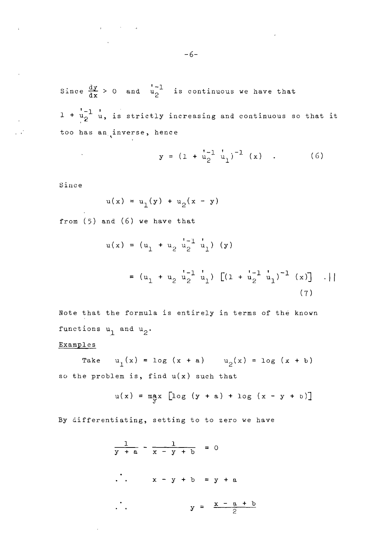Since  $\frac{dy}{dx}$  > 0 and  $u_2^{-1}$  is continuous we have that  $1 + \frac{1}{u_2}$   $\frac{1}{u}$ , is strictly increasing and continuous so that it too has an inverse, hence

$$
y = (1 + u_2^{-1} u_1)^{-1} (x) . \t(6)
$$

Since

 $\ddot{\phantom{a}}$ 

 $\ddot{\phantom{a}}$ 

 $\mathbb{R}^2$ 

$$
u(x) = u_1(y) + u_2(x - y)
$$

from  $(5)$  and  $(6)$  we have that

 $\mathbf{r} = (1, 2, 3, 5, 6, 1, 1, 1, 1)$ 

$$
u(x) = (u_1 + u_2 u_2^{-1} u_1)(y)
$$
  
=  $(u_1 + u_2 u_2^{-1} u_1) [(1 + u_2^{-1} u_1)^{-1} (x)]$  .

Note that the formula is entirely in terms of the known functions  $u_1$  and  $u_2$ .

## Examples

Take  $u_1(x) = \log(x + a)$   $u_2(x) = \log(x + b)$ so the problem is, find  $u(x)$  such that

 $u(x) = max \ y$   $\left[ log (y + a) + log (x - y + b) \right]$ 

By differentiating, setting to to zero we have

$$
\frac{1}{y + a} - \frac{1}{x - y + b} = 0
$$
  
\n
$$
\therefore \quad x - y + b = y + a
$$
  
\n
$$
\therefore \quad y = \frac{x - a + b}{2}
$$

$$
-6-
$$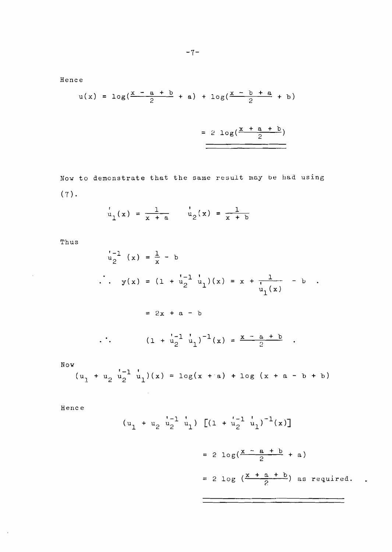Hence

$$
u(x) = \log(\frac{x - a + b}{2} + a) + \log(\frac{x - b + a}{2} + b)
$$
  
= 2 \log(\frac{x + a + b}{2})

Now to demonstrate that the same result may be had using  $(7)$ .

$$
u'_1(x) = \frac{1}{x + a}
$$
  $u'_2(x) = \frac{1}{x + b}$ 

Thus

 $\bar{\mathcal{A}}$ 

 $\sim$ 

$$
u_2^{-1}(x) = \frac{1}{x} - b
$$
  
\n
$$
\therefore y(x) = (1 + u_2^{-1} u_1)(x) = x + \frac{1}{u_1(x)} - b
$$
  
\n
$$
= 2x + a - b
$$
  
\n
$$
\therefore (1 + u_2^{-1} u_1)^{-1}(x) = \frac{x - a + b}{2}.
$$

Now

$$
(u_1 + u_2 u_2^{-1} u_1)(x) = log(x + a) + log(x + a - b + b)
$$

Hence

$$
(u_1 + u_2 \t u_2^{-1} \t u_1) \left[ (1 + u_2^{-1} \t u_1)^{-1}(x) \right]
$$
  
=  $2 \log(\frac{x - a + b}{2} + a)$   
=  $2 \log(\frac{x + a + b}{2})$  as required.

 $\star$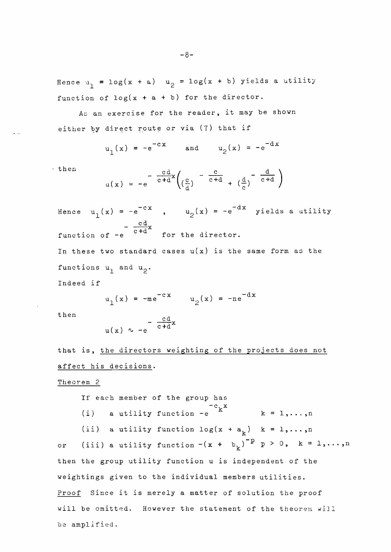Hence  $u_1 = log(x + a)$   $u_2 = log(x + b)$  yields a utility function of  $log(x + a + b)$  for the director.

As an exercise for the reader, it may be shown either by direct route or via (7) that if

$$
u_1(x) = -e^{-cx}
$$
 and  $u_2(x) = -e^{-dx}$ 

, then

 $\mathbf{a}$  and

$$
u(x) = -e^{-\frac{c d}{c + d}x} \left( \left( \frac{c}{d} \right)^{-\frac{c}{c + d}} + \left( \frac{d}{c} \right)^{-\frac{d}{c + d}} \right)
$$

Hence  $u_1(x) = -e^{-cx}$  ,  $u_2(x) = -e^{-dx}$  yields a utility function of  $-e^{\frac{cd}{c+d}x}$  for the director.

In these two standard cases  $u(x)$  is the same form as the functions  $u_1$  and  $u_2$ .

Indeed if

$$
u_1(x) = -me^{-cx}
$$
  $u_2(x) = -ne^{-dx}$ 

then

$$
\begin{array}{c}\n \phantom{-}\frac{cd}{c+d}x \\
u(x) \sim -e\n\end{array}
$$

that is, the directors weighting of the projects does not affect his decisions.

Theorem 2

If' each member of the group has

(i) a utility function  $-e^{kx}$ a utility function -e  $k = 1, \ldots, n$ 

(ii) a utility function  $\log(x + a_k)$  k = 1,...,n

or (iii) a utility function  $-(x + b_k)^{-p} p > 0$ ,  $k = 1,...,n$ then the group utility function u is independent of the weightings given to the individual members utilities. Proof Since it is merely a matter of solution the proof will be omitted. However the statement of the theorem willbe amplified.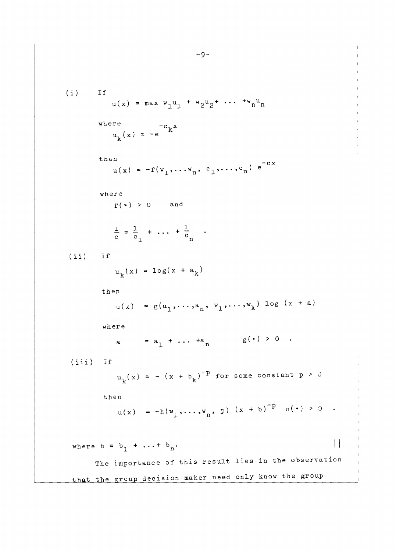(i) If  
\n
$$
u(x) = max w_1u_1 + v_2u_2 + \cdots + w_nu_n
$$
\nwhere  
\n
$$
u_k(x) = -e^{x_k}
$$
\nthen  
\n
$$
u(x) = -f(x_1, \ldots, x_n, c_1, \ldots, c_n) e^{-cx}
$$
\nwhere  
\n
$$
f(\cdot) > 0 \quad \text{and}
$$
\n
$$
\frac{1}{c} = \frac{1}{c_1} + \cdots + \frac{1}{c_n}
$$
\n(i) If  
\n
$$
u_k(x) = log(x + a_k)
$$
\nthen  
\n
$$
u(x) = g(a_1, \ldots, a_n, w_1, \ldots, w_k) log (x + a)
$$
\nwhere  
\n
$$
a = a_1 + \cdots + a_n
$$
\n
$$
g(\cdot) > 0
$$
\n(iii) If  
\n
$$
u_k(x) = - (x + b_k)^{-p} \text{ for some constant } p > 0
$$
\nthen  
\n
$$
u(x) = -h(v_1, \ldots, v_n, p) (x + b)^{-p} n(\cdot) > 0
$$
\nwhere  $b = b_1 + \cdots + b_n$ .  
\nThe importance of this result lies in the observation  
\nthat the group decision maker need only know the group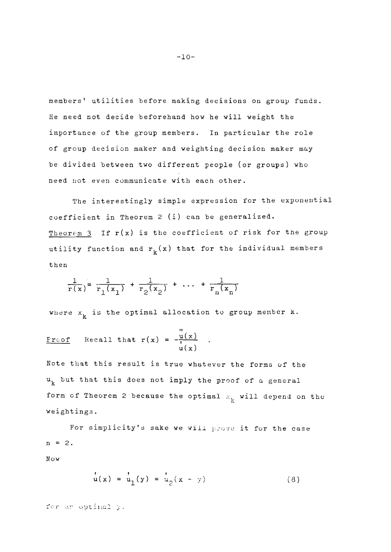members' utilities before making decisions on group funds. He need not decide beforehand how he will weight the importance of the group members. In particular the role of group decision maker and weighting decision maker may be divided between two different people (or groups) who need not even communicate with each other.

The interestingly simple expression for the exponential coefficient in Theorem <sup>2</sup> (i) can be generalized. Theorem 3 If  $r(x)$  is the coefficient of risk for the group utility function and  $r_k(x)$  that for the individual members then

$$
\frac{1}{r(x)} = \frac{1}{r_1(x_1)} + \frac{1}{r_2(x_2)} + \cdots + \frac{1}{r_n(x_n)}
$$

where  $x_k$  is the optimal allocation to group member k.

Proof Recall that 
$$
r(x) = -\frac{u(x)}{u(x)}
$$

Note that this result is true whatever the forms of the  $u_k$  but that this does not imply the proof of a general form of Theorem 2 because the optimal  $x_{\mathbf{k}}$  will depend on the weightings.

For simplicity's sake we will prove it for the case  $n = 2$ .

Now

$$
\mathbf{u}'(\mathbf{x}) = \mathbf{u}_1(\mathbf{y}) = \mathbf{u}_2(\mathbf{x} - \mathbf{y})
$$
 (8)

for an optimal y.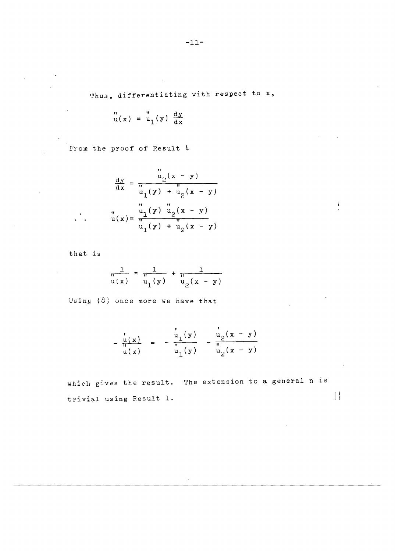Thus, differentiating with respect to x,

$$
\mathbf{u}(\mathbf{x}) = \mathbf{u}_1(\mathbf{y}) \frac{\mathrm{d}\mathbf{y}}{\mathrm{d}\mathbf{x}}
$$

From the proof of Result 4

$$
\frac{dy}{dx} = \frac{u_2(x - y)}{u_1(y) + u_2(x - y)}
$$
  

$$
u(x) = \frac{u_1(y) u_2(x - y)}{u_1(y) + u_2(x - y)}
$$

 $\frac{1}{1}$ 

that is

$$
\frac{1}{u(x)} = \frac{1}{u_1(y)} + \frac{1}{u_2(x - y)}
$$

Using  $(8)$  once more we have that

$$
-\frac{\mu(x)}{\mu(x)} = -\frac{\mu_1(y)}{\mu_1(y)} - \frac{\mu_2(x-y)}{\mu_2(x-y)}
$$

which gives the result. The extension to a general n is  $\begin{array}{c} \hline \end{array}$ trivial using Result 1.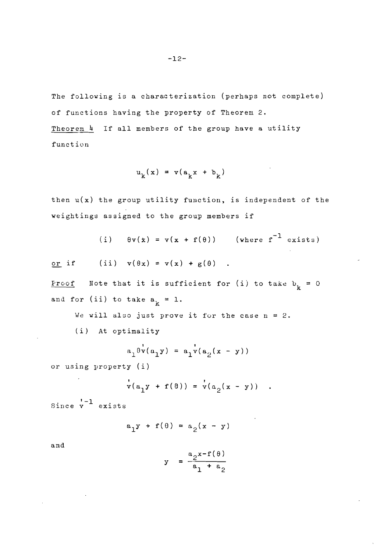The following is <sup>a</sup> characterization (perhaps not complete) of functions having the property of Theorem 2. Theorem 4 If all members of the group have a utility function

$$
u_k(x) = v(a_k x + b_k)
$$

then  $u(x)$  the group utility function, is independent of the weightings assigned to the group members if

(i) 
$$
\theta v(x) = v(x + f(\theta))
$$
 (where  $f^{-1}$  exists)

or if (ii)  $v(\theta x) = v(x) + g(\theta)$ .

Froof Note that it is sufficient for (i) to take  $b_k = 0$ and for (ii) to take  $a_k = 1$ .

We will also just prove it for the case  $n = 2$ .

(i) At optimality

$$
a_1 \theta v (a_1 y) = a_1 v (a_2 (x - y))
$$

or using property (i)

$$
v(a_1y + f(\theta)) = v(a_2(x - y))
$$

Since  $v^{-1}$  exists

$$
a_1 y + f(\theta) = a_2 (x - y)
$$

and

$$
y = \frac{a_2 x - f(\theta)}{a_1 + a_2}
$$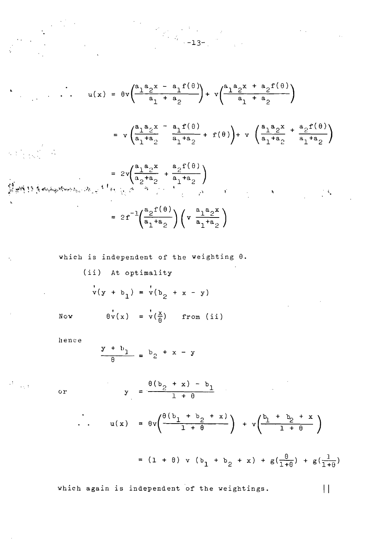$\mathcal{L}^{\text{max}}_{\text{max}}$  , where  $\mathcal{L}^{\text{max}}_{\text{max}}$ 

$$
u(x) = \theta v \left( \frac{a_1 a_2 x - a_1 f(\theta)}{a_1 + a_2} \right) + v \left( \frac{a_1 a_2 x + a_2 f(\theta)}{a_1 + a_2} \right)
$$
  

$$
= v \left( \frac{a_1 a_2 x - a_1 f(\theta)}{a_1 + a_2} + f(\theta) \right) + v \left( \frac{a_1 a_2 x + a_2 f(\theta)}{a_1 + a_2} \right)
$$

 $\hat{\mathcal{L}}$ 

 $\mathcal{A}=\frac{1}{2\sqrt{3}}$ 

$$
= 2v\left(\frac{a_{1}a_{2}x}{a_{2}+a_{2}} + \frac{a_{2}f(\theta)}{a_{1}+a_{2}}\right)
$$
  

$$
= 2v\left(\frac{a_{1}a_{2}x}{a_{1}+a_{2}} + \frac{a_{2}f(\theta)}{a_{1}+a_{2}}\right)
$$
  

$$
= 2f^{-1}\left(\frac{a_{2}f(\theta)}{a_{1}+a_{2}}\right)\left(v\frac{a_{1}a_{2}x}{a_{1}+a_{2}}\right)
$$

which is independent of the weighting  $\theta$ .

(ii) At optimality

$$
\mathbf{v}(y + b_1) = \mathbf{v}(b_2 + x - y)
$$
  

$$
\theta \mathbf{v}(x) = \mathbf{v}(\frac{x}{\theta}) \text{ from (ii)}
$$

Now

hence

$$
\frac{y + b_1}{a} = b_2 + x - y
$$

or 
$$
y = \frac{\theta(b_2 + x) - b_1}{1 + \theta}
$$

$$
\therefore u(x) = \theta v \left( \frac{\theta (b_1 + b_2 + x)}{1 + \theta} \right) + v \left( \frac{b_1 + b_2 + x}{1 + \theta} \right)
$$

= 
$$
(1 + \theta)
$$
 v  $(b_1 + b_2 + x) + g(\frac{\theta}{1+\theta}) + g(\frac{1}{1+\theta})$ 

which again is independent of the weightings.

 $\overline{\mathcal{L}}$